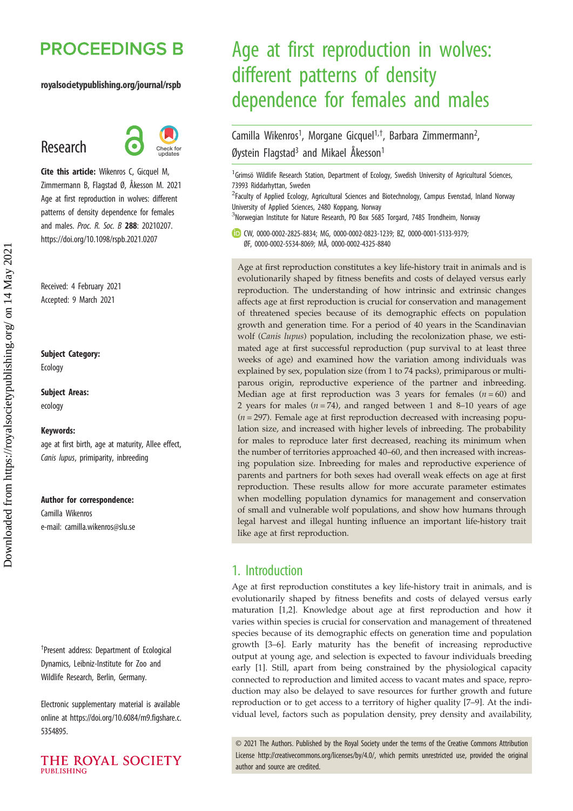## **PROCEEDINGS B**

#### royalsocietypublishing.org/journal/rspb

## Research



Cite this article: Wikenros C, Gicquel M, Zimmermann B, Flagstad Ø, Åkesson M. 2021 Age at first reproduction in wolves: different patterns of density dependence for females and males. Proc. R. Soc. B 288: 20210207. https://doi.org/10.1098/rspb.2021.0207

Received: 4 February 2021 Accepted: 9 March 2021

#### Subject Category:

Ecology

#### Subject Areas: ecology

#### Keywords:

age at first birth, age at maturity, Allee effect, Canis lupus, primiparity, inbreeding

#### Author for correspondence:

Camilla Wikenros e-mail: [camilla.wikenros@slu.se](mailto:camilla.wikenros@slu.se)

† Present address: Department of Ecological Dynamics, Leibniz-Institute for Zoo and Wildlife Research, Berlin, Germany.

Electronic supplementary material is available online at [https://doi.org/10.6084/m9.figshare.c.](https://doi.org/10.6084/m9.figshare.c.5354895) [5354895.](https://doi.org/10.6084/m9.figshare.c.5354895)



## Age at first reproduction in wolves: different patterns of density dependence for females and males

Camilla Wikenros<sup>1</sup>, Morgane Gicquel<sup>1,†</sup>, Barbara Zimmermann<sup>2</sup> .<br>, Øystein Flagstad<sup>3</sup> and Mikael Åkesson<sup>1</sup>

<sup>1</sup> Grimsö Wildlife Research Station, Department of Ecology, Swedish University of Agricultural Sciences, 73993 Riddarhyttan, Sweden

<sup>2</sup> Faculty of Applied Ecology, Agricultural Sciences and Biotechnology, Campus Evenstad, Inland Norway University of Applied Sciences, 2480 Koppang, Norway

<sup>3</sup>Norwegian Institute for Nature Research, PO Box 5685 Torgard, 7485 Trondheim, Norway

CW, [0000-0002-2825-8834](http://orcid.org/0000-0002-2825-8834); MG, [0000-0002-0823-1239;](http://orcid.org/0000-0002-0823-1239) BZ, [0000-0001-5133-9379](http://orcid.org/0000-0001-5133-9379); ØF, [0000-0002-5534-8069](http://orcid.org/0000-0002-5534-8069); MÅ, [0000-0002-4325-8840](http://orcid.org/0000-0002-4325-8840)

Age at first reproduction constitutes a key life-history trait in animals and is evolutionarily shaped by fitness benefits and costs of delayed versus early reproduction. The understanding of how intrinsic and extrinsic changes affects age at first reproduction is crucial for conservation and management of threatened species because of its demographic effects on population growth and generation time. For a period of 40 years in the Scandinavian wolf (Canis lupus) population, including the recolonization phase, we estimated age at first successful reproduction (pup survival to at least three weeks of age) and examined how the variation among individuals was explained by sex, population size (from 1 to 74 packs), primiparous or multiparous origin, reproductive experience of the partner and inbreeding. Median age at first reproduction was 3 years for females  $(n = 60)$  and 2 years for males  $(n = 74)$ , and ranged between 1 and 8-10 years of age  $(n = 297)$ . Female age at first reproduction decreased with increasing population size, and increased with higher levels of inbreeding. The probability for males to reproduce later first decreased, reaching its minimum when the number of territories approached 40–60, and then increased with increasing population size. Inbreeding for males and reproductive experience of parents and partners for both sexes had overall weak effects on age at first reproduction. These results allow for more accurate parameter estimates when modelling population dynamics for management and conservation of small and vulnerable wolf populations, and show how humans through legal harvest and illegal hunting influence an important life-history trait like age at first reproduction.

### 1. Introduction

Age at first reproduction constitutes a key life-history trait in animals, and is evolutionarily shaped by fitness benefits and costs of delayed versus early maturation [[1](#page-7-0),[2](#page-7-0)]. Knowledge about age at first reproduction and how it varies within species is crucial for conservation and management of threatened species because of its demographic effects on generation time and population growth [[3](#page-7-0)–[6](#page-7-0)]. Early maturity has the benefit of increasing reproductive output at young age, and selection is expected to favour individuals breeding early [\[1\]](#page-7-0). Still, apart from being constrained by the physiological capacity connected to reproduction and limited access to vacant mates and space, reproduction may also be delayed to save resources for further growth and future reproduction or to get access to a territory of higher quality [[7](#page-7-0)–[9](#page-7-0)]. At the individual level, factors such as population density, prey density and availability,

© 2021 The Authors. Published by the Royal Society under the terms of the Creative Commons Attribution License<http://creativecommons.org/licenses/by/4.0/>, which permits unrestricted use, provided the original author and source are credited.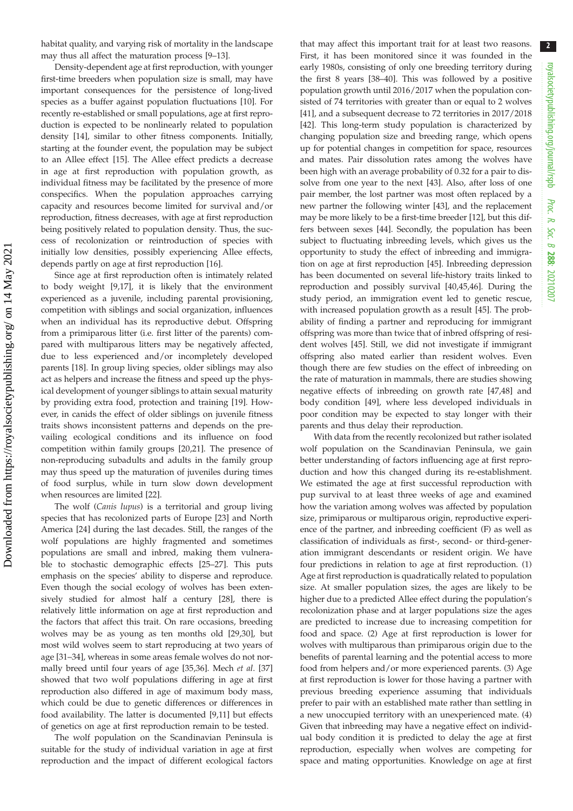2

habitat quality, and varying risk of mortality in the landscape may thus all affect the maturation process [\[9](#page-7-0)–[13](#page-7-0)].

Density-dependent age at first reproduction, with younger first-time breeders when population size is small, may have important consequences for the persistence of long-lived species as a buffer against population fluctuations [[10\]](#page-7-0). For recently re-established or small populations, age at first reproduction is expected to be nonlinearly related to population density [[14\]](#page-7-0), similar to other fitness components. Initially, starting at the founder event, the population may be subject to an Allee effect [\[15](#page-7-0)]. The Allee effect predicts a decrease in age at first reproduction with population growth, as individual fitness may be facilitated by the presence of more conspecifics. When the population approaches carrying capacity and resources become limited for survival and/or reproduction, fitness decreases, with age at first reproduction being positively related to population density. Thus, the success of recolonization or reintroduction of species with initially low densities, possibly experiencing Allee effects, depends partly on age at first reproduction [[16](#page-7-0)].

Since age at first reproduction often is intimately related to body weight [[9,17\]](#page-7-0), it is likely that the environment experienced as a juvenile, including parental provisioning, competition with siblings and social organization, influences when an individual has its reproductive debut. Offspring from a primiparous litter (i.e. first litter of the parents) compared with multiparous litters may be negatively affected, due to less experienced and/or incompletely developed parents [[18\]](#page-7-0). In group living species, older siblings may also act as helpers and increase the fitness and speed up the physical development of younger siblings to attain sexual maturity by providing extra food, protection and training [\[19](#page-7-0)]. However, in canids the effect of older siblings on juvenile fitness traits shows inconsistent patterns and depends on the prevailing ecological conditions and its influence on food competition within family groups [\[20](#page-7-0),[21\]](#page-7-0). The presence of non-reproducing subadults and adults in the family group may thus speed up the maturation of juveniles during times of food surplus, while in turn slow down development when resources are limited [\[22](#page-7-0)].

The wolf (Canis lupus) is a territorial and group living species that has recolonized parts of Europe [\[23](#page-7-0)] and North America [[24\]](#page-7-0) during the last decades. Still, the ranges of the wolf populations are highly fragmented and sometimes populations are small and inbred, making them vulnerable to stochastic demographic effects [[25](#page-7-0)–[27](#page-7-0)]. This puts emphasis on the species' ability to disperse and reproduce. Even though the social ecology of wolves has been extensively studied for almost half a century [\[28](#page-7-0)], there is relatively little information on age at first reproduction and the factors that affect this trait. On rare occasions, breeding wolves may be as young as ten months old [[29,30](#page-7-0)], but most wild wolves seem to start reproducing at two years of age [\[31](#page-7-0)–[34\]](#page-7-0), whereas in some areas female wolves do not normally breed until four years of age [\[35,36](#page-7-0)]. Mech et al. [[37\]](#page-7-0) showed that two wolf populations differing in age at first reproduction also differed in age of maximum body mass, which could be due to genetic differences or differences in food availability. The latter is documented [[9,11\]](#page-7-0) but effects of genetics on age at first reproduction remain to be tested.

The wolf population on the Scandinavian Peninsula is suitable for the study of individual variation in age at first reproduction and the impact of different ecological factors that may affect this important trait for at least two reasons. First, it has been monitored since it was founded in the early 1980s, consisting of only one breeding territory during the first 8 years [[38](#page-8-0)–[40](#page-8-0)]. This was followed by a positive population growth until 2016/2017 when the population consisted of 74 territories with greater than or equal to 2 wolves [[41\]](#page-8-0), and a subsequent decrease to 72 territories in 2017/2018 [[42\]](#page-8-0). This long-term study population is characterized by changing population size and breeding range, which opens up for potential changes in competition for space, resources and mates. Pair dissolution rates among the wolves have been high with an average probability of 0.32 for a pair to dissolve from one year to the next [\[43](#page-8-0)]. Also, after loss of one pair member, the lost partner was most often replaced by a new partner the following winter [\[43](#page-8-0)], and the replacement may be more likely to be a first-time breeder [\[12](#page-7-0)], but this differs between sexes [\[44](#page-8-0)]. Secondly, the population has been subject to fluctuating inbreeding levels, which gives us the opportunity to study the effect of inbreeding and immigration on age at first reproduction [[45\]](#page-8-0). Inbreeding depression has been documented on several life-history traits linked to reproduction and possibly survival [[40,45,46](#page-8-0)]. During the study period, an immigration event led to genetic rescue, with increased population growth as a result [[45\]](#page-8-0). The probability of finding a partner and reproducing for immigrant offspring was more than twice that of inbred offspring of resident wolves [[45\]](#page-8-0). Still, we did not investigate if immigrant offspring also mated earlier than resident wolves. Even though there are few studies on the effect of inbreeding on the rate of maturation in mammals, there are studies showing negative effects of inbreeding on growth rate [[47,48\]](#page-8-0) and body condition [\[49](#page-8-0)], where less developed individuals in poor condition may be expected to stay longer with their parents and thus delay their reproduction.

With data from the recently recolonized but rather isolated wolf population on the Scandinavian Peninsula, we gain better understanding of factors influencing age at first reproduction and how this changed during its re-establishment. We estimated the age at first successful reproduction with pup survival to at least three weeks of age and examined how the variation among wolves was affected by population size, primiparous or multiparous origin, reproductive experience of the partner, and inbreeding coefficient (F) as well as classification of individuals as first-, second- or third-generation immigrant descendants or resident origin. We have four predictions in relation to age at first reproduction. (1) Age at first reproduction is quadratically related to population size. At smaller population sizes, the ages are likely to be higher due to a predicted Allee effect during the population's recolonization phase and at larger populations size the ages are predicted to increase due to increasing competition for food and space. (2) Age at first reproduction is lower for wolves with multiparous than primiparous origin due to the benefits of parental learning and the potential access to more food from helpers and/or more experienced parents. (3) Age at first reproduction is lower for those having a partner with previous breeding experience assuming that individuals prefer to pair with an established mate rather than settling in a new unoccupied territory with an unexperienced mate. (4) Given that inbreeding may have a negative effect on individual body condition it is predicted to delay the age at first reproduction, especially when wolves are competing for space and mating opportunities. Knowledge on age at first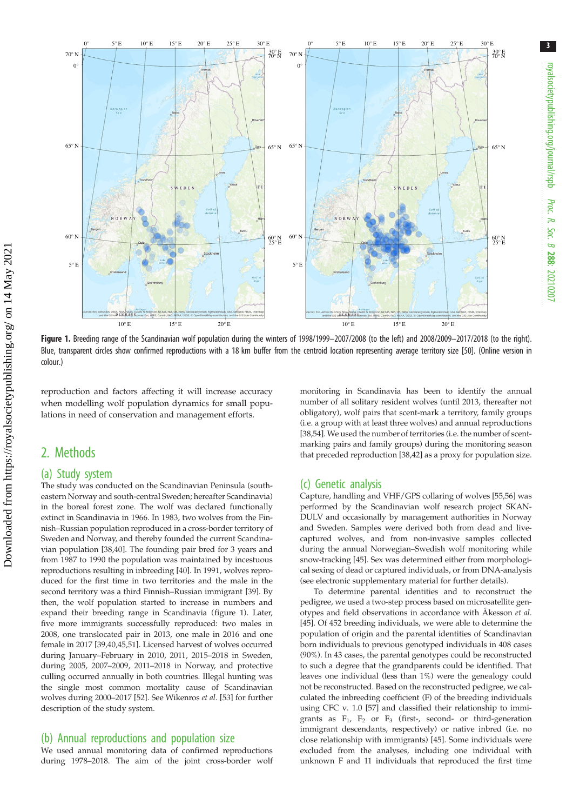

Figure 1. Breeding range of the Scandinavian wolf population during the winters of 1998/1999-2007/2008 (to the left) and 2008/2009-2017/2018 (to the right). Blue, transparent circles show confirmed reproductions with a 18 km buffer from the centroid location representing average territory size [\[50\]](#page-8-0). (Online version in colour.)

reproduction and factors affecting it will increase accuracy when modelling wolf population dynamics for small populations in need of conservation and management efforts.

## 2. Methods

#### (a) Study system

The study was conducted on the Scandinavian Peninsula (southeastern Norway and south-central Sweden; hereafter Scandinavia) in the boreal forest zone. The wolf was declared functionally extinct in Scandinavia in 1966. In 1983, two wolves from the Finnish–Russian population reproduced in a cross-border territory of Sweden and Norway, and thereby founded the current Scandinavian population [\[38,40](#page-8-0)]. The founding pair bred for 3 years and from 1987 to 1990 the population was maintained by incestuous reproductions resulting in inbreeding [[40](#page-8-0)]. In 1991, wolves reproduced for the first time in two territories and the male in the second territory was a third Finnish–Russian immigrant [[39](#page-8-0)]. By then, the wolf population started to increase in numbers and expand their breeding range in Scandinavia (figure 1). Later, five more immigrants successfully reproduced: two males in 2008, one translocated pair in 2013, one male in 2016 and one female in 2017 [\[39,40,45,51](#page-8-0)]. Licensed harvest of wolves occurred during January–February in 2010, 2011, 2015–2018 in Sweden, during 2005, 2007–2009, 2011–2018 in Norway, and protective culling occurred annually in both countries. Illegal hunting was the single most common mortality cause of Scandinavian wolves during 2000–2017 [[52](#page-8-0)]. See Wikenros et al. [\[53\]](#page-8-0) for further description of the study system.

#### (b) Annual reproductions and population size

We used annual monitoring data of confirmed reproductions during 1978–2018. The aim of the joint cross-border wolf monitoring in Scandinavia has been to identify the annual number of all solitary resident wolves (until 2013, thereafter not obligatory), wolf pairs that scent-mark a territory, family groups (i.e. a group with at least three wolves) and annual reproductions [[38,54\]](#page-8-0). We used the number of territories (i.e. the number of scentmarking pairs and family groups) during the monitoring season that preceded reproduction [\[38,42](#page-8-0)] as a proxy for population size.

#### (c) Genetic analysis

Capture, handling and VHF/GPS collaring of wolves [\[55,56](#page-8-0)] was performed by the Scandinavian wolf research project SKAN-DULV and occasionally by management authorities in Norway and Sweden. Samples were derived both from dead and livecaptured wolves, and from non-invasive samples collected during the annual Norwegian–Swedish wolf monitoring while snow-tracking [[45](#page-8-0)]. Sex was determined either from morphological sexing of dead or captured individuals, or from DNA-analysis (see electronic supplementary material for further details).

To determine parental identities and to reconstruct the pedigree, we used a two-step process based on microsatellite genotypes and field observations in accordance with Åkesson et al. [[45](#page-8-0)]. Of 452 breeding individuals, we were able to determine the population of origin and the parental identities of Scandinavian born individuals to previous genotyped individuals in 408 cases (90%). In 43 cases, the parental genotypes could be reconstructed to such a degree that the grandparents could be identified. That leaves one individual (less than 1%) were the genealogy could not be reconstructed. Based on the reconstructed pedigree, we calculated the inbreeding coefficient (F) of the breeding individuals using CFC v. 1.0 [\[57\]](#page-8-0) and classified their relationship to immigrants as  $F_1$ ,  $F_2$  or  $F_3$  (first-, second- or third-generation immigrant descendants, respectively) or native inbred (i.e. no close relationship with immigrants) [\[45\]](#page-8-0). Some individuals were excluded from the analyses, including one individual with unknown F and 11 individuals that reproduced the first time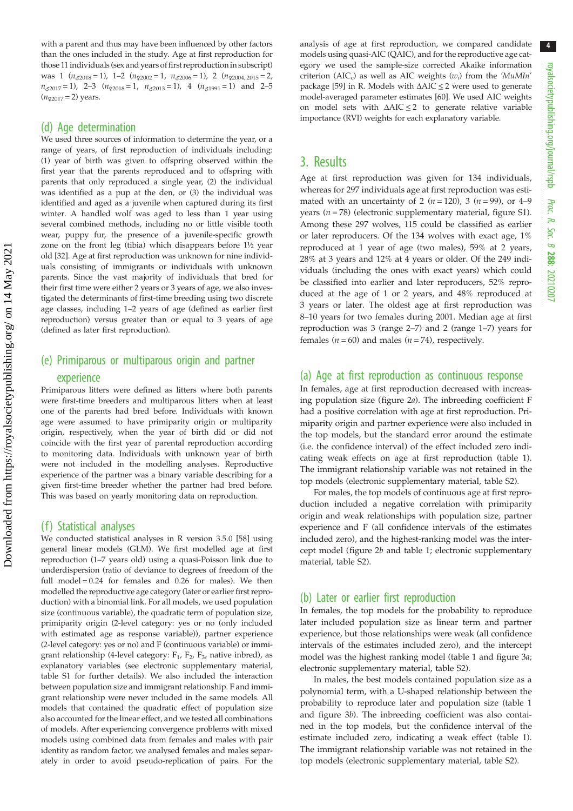with a parent and thus may have been influenced by other factors than the ones included in the study. Age at first reproduction for those 11 individuals (sex and years of first reproduction in subscript) was 1  $(n_{d2018} = 1)$ , 1–2  $(n_{q2002} = 1, n_{d2006} = 1)$ , 2  $(n_{q2004, 2015} = 2,$  $n_{\sigma2017} = 1$ , 2–3  $(n_{\phi2018} = 1, n_{\phi2013} = 1)$ , 4  $(n_{\phi1991} = 1)$  and 2–5  $(n_{\text{92017}} = 2)$  years.

#### (d) Age determination

We used three sources of information to determine the year, or a range of years, of first reproduction of individuals including: (1) year of birth was given to offspring observed within the first year that the parents reproduced and to offspring with parents that only reproduced a single year, (2) the individual was identified as a pup at the den, or (3) the individual was identified and aged as a juvenile when captured during its first winter. A handled wolf was aged to less than 1 year using several combined methods, including no or little visible tooth wear, puppy fur, the presence of a juvenile-specific growth zone on the front leg (tibia) which disappears before 1½ year old [\[32\]](#page-7-0). Age at first reproduction was unknown for nine individuals consisting of immigrants or individuals with unknown parents. Since the vast majority of individuals that bred for their first time were either 2 years or 3 years of age, we also investigated the determinants of first-time breeding using two discrete age classes, including 1–2 years of age (defined as earlier first reproduction) versus greater than or equal to 3 years of age (defined as later first reproduction).

# (e) Primiparous or multiparous origin and partner

#### experience

Primiparous litters were defined as litters where both parents were first-time breeders and multiparous litters when at least one of the parents had bred before. Individuals with known age were assumed to have primiparity origin or multiparity origin, respectively, when the year of birth did or did not coincide with the first year of parental reproduction according to monitoring data. Individuals with unknown year of birth were not included in the modelling analyses. Reproductive experience of the partner was a binary variable describing for a given first-time breeder whether the partner had bred before. This was based on yearly monitoring data on reproduction.

#### (f) Statistical analyses

We conducted statistical analyses in R version 3.5.0 [\[58\]](#page-8-0) using general linear models (GLM). We first modelled age at first reproduction (1–7 years old) using a quasi-Poisson link due to underdispersion (ratio of deviance to degrees of freedom of the full model  $= 0.24$  for females and 0.26 for males). We then modelled the reproductive age category (later or earlier first reproduction) with a binomial link. For all models, we used population size (continuous variable), the quadratic term of population size, primiparity origin (2-level category: yes or no (only included with estimated age as response variable)), partner experience (2-level category: yes or no) and F (continuous variable) or immigrant relationship (4-level category:  $F_1$ ,  $F_2$ ,  $F_3$ , native inbred), as explanatory variables (see electronic supplementary material, table S1 for further details). We also included the interaction between population size and immigrant relationship. F and immigrant relationship were never included in the same models. All models that contained the quadratic effect of population size also accounted for the linear effect, and we tested all combinations of models. After experiencing convergence problems with mixed models using combined data from females and males with pair identity as random factor, we analysed females and males separately in order to avoid pseudo-replication of pairs. For the

analysis of age at first reproduction, we compared candidate models using quasi-AIC (QAIC), and for the reproductive age category we used the sample-size corrected Akaike information criterion (AIC<sub>c</sub>) as well as AIC weights  $(w_i)$  from the 'MuMIn' package [[59](#page-8-0)] in R. Models with  $\triangle AIC \leq 2$  were used to generate model-averaged parameter estimates [[60](#page-8-0)]. We used AIC weights on model sets with  $\triangle AIC \leq 2$  to generate relative variable importance (RVI) weights for each explanatory variable.

## 3. Results

Age at first reproduction was given for 134 individuals, whereas for 297 individuals age at first reproduction was estimated with an uncertainty of 2 ( $n = 120$ ), 3 ( $n = 99$ ), or 4–9 years ( $n = 78$ ) (electronic supplementary material, figure S1). Among these 297 wolves, 115 could be classified as earlier or later reproducers. Of the 134 wolves with exact age, 1% reproduced at 1 year of age (two males), 59% at 2 years, 28% at 3 years and 12% at 4 years or older. Of the 249 individuals (including the ones with exact years) which could be classified into earlier and later reproducers, 52% reproduced at the age of 1 or 2 years, and 48% reproduced at 3 years or later. The oldest age at first reproduction was 8–10 years for two females during 2001. Median age at first reproduction was 3 (range 2–7) and 2 (range 1–7) years for females ( $n = 60$ ) and males ( $n = 74$ ), respectively.

#### (a) Age at first reproduction as continuous response

In females, age at first reproduction decreased with increasing population size ([figure 2](#page-4-0)a). The inbreeding coefficient F had a positive correlation with age at first reproduction. Primiparity origin and partner experience were also included in the top models, but the standard error around the estimate (i.e. the confidence interval) of the effect included zero indicating weak effects on age at first reproduction [\(table 1\)](#page-5-0). The immigrant relationship variable was not retained in the top models (electronic supplementary material, table S2).

For males, the top models of continuous age at first reproduction included a negative correlation with primiparity origin and weak relationships with population size, partner experience and F (all confidence intervals of the estimates included zero), and the highest-ranking model was the intercept model ([figure 2](#page-4-0)b and [table 1;](#page-5-0) electronic supplementary material, table S2).

#### (b) Later or earlier first reproduction

In females, the top models for the probability to reproduce later included population size as linear term and partner experience, but those relationships were weak (all confidence intervals of the estimates included zero), and the intercept model was the highest ranking model ([table 1](#page-5-0) and [figure 3](#page-6-0)a; electronic supplementary material, table S2).

In males, the best models contained population size as a polynomial term, with a U-shaped relationship between the probability to reproduce later and population size [\(table 1](#page-5-0) and [figure 3](#page-6-0)b). The inbreeding coefficient was also contained in the top models, but the confidence interval of the estimate included zero, indicating a weak effect [\(table 1\)](#page-5-0). The immigrant relationship variable was not retained in the top models (electronic supplementary material, table S2).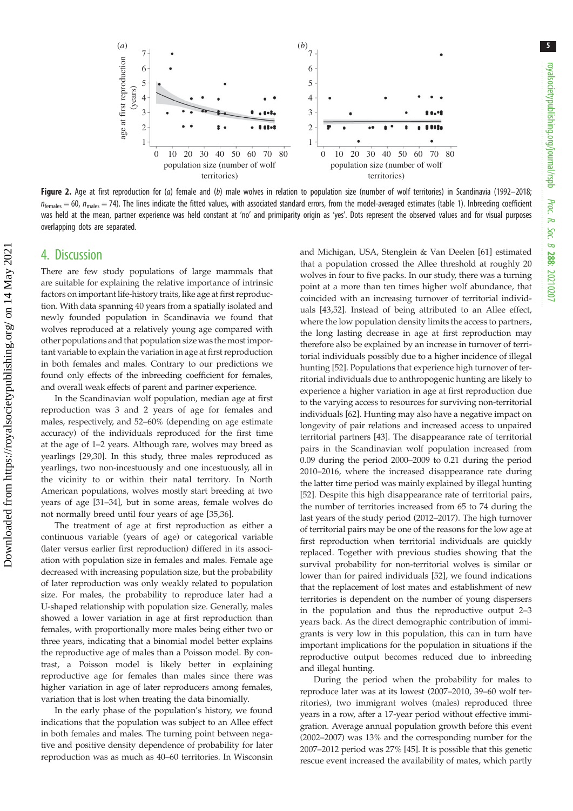5

<span id="page-4-0"></span>

Figure 2. Age at first reproduction for (a) female and (b) male wolves in relation to population size (number of wolf territories) in Scandinavia (1992–2018;  $n_{\text{females}} = 60$ ,  $n_{\text{males}} = 74$ ). The lines indicate the fitted values, with associated standard errors, from the model-averaged estimates [\(table 1](#page-5-0)). Inbreeding coefficient was held at the mean, partner experience was held constant at 'no' and primiparity origin as 'yes'. Dots represent the observed values and for visual purposes overlapping dots are separated.

### 4. Discussion

There are few study populations of large mammals that are suitable for explaining the relative importance of intrinsic factors on important life-history traits, like age at first reproduction. With data spanning 40 years from a spatially isolated and newly founded population in Scandinavia we found that wolves reproduced at a relatively young age compared with other populations and that population size was the most important variable to explain the variation in age at first reproduction in both females and males. Contrary to our predictions we found only effects of the inbreeding coefficient for females, and overall weak effects of parent and partner experience.

In the Scandinavian wolf population, median age at first reproduction was 3 and 2 years of age for females and males, respectively, and 52–60% (depending on age estimate accuracy) of the individuals reproduced for the first time at the age of 1–2 years. Although rare, wolves may breed as yearlings [[29,30\]](#page-7-0). In this study, three males reproduced as yearlings, two non-incestuously and one incestuously, all in the vicinity to or within their natal territory. In North American populations, wolves mostly start breeding at two years of age [[31](#page-7-0)–[34](#page-7-0)], but in some areas, female wolves do not normally breed until four years of age [[35](#page-7-0),[36\]](#page-7-0).

The treatment of age at first reproduction as either a continuous variable (years of age) or categorical variable (later versus earlier first reproduction) differed in its association with population size in females and males. Female age decreased with increasing population size, but the probability of later reproduction was only weakly related to population size. For males, the probability to reproduce later had a U-shaped relationship with population size. Generally, males showed a lower variation in age at first reproduction than females, with proportionally more males being either two or three years, indicating that a binomial model better explains the reproductive age of males than a Poisson model. By contrast, a Poisson model is likely better in explaining reproductive age for females than males since there was higher variation in age of later reproducers among females, variation that is lost when treating the data binomially.

In the early phase of the population's history, we found indications that the population was subject to an Allee effect in both females and males. The turning point between negative and positive density dependence of probability for later reproduction was as much as 40–60 territories. In Wisconsin and Michigan, USA, Stenglein & Van Deelen [[61\]](#page-8-0) estimated that a population crossed the Allee threshold at roughly 20 wolves in four to five packs. In our study, there was a turning point at a more than ten times higher wolf abundance, that coincided with an increasing turnover of territorial individuals [\[43,52](#page-8-0)]. Instead of being attributed to an Allee effect, where the low population density limits the access to partners, the long lasting decrease in age at first reproduction may therefore also be explained by an increase in turnover of territorial individuals possibly due to a higher incidence of illegal hunting [[52\]](#page-8-0). Populations that experience high turnover of territorial individuals due to anthropogenic hunting are likely to experience a higher variation in age at first reproduction due to the varying access to resources for surviving non-territorial individuals [[62\]](#page-8-0). Hunting may also have a negative impact on longevity of pair relations and increased access to unpaired territorial partners [\[43](#page-8-0)]. The disappearance rate of territorial pairs in the Scandinavian wolf population increased from 0.09 during the period 2000–2009 to 0.21 during the period 2010–2016, where the increased disappearance rate during the latter time period was mainly explained by illegal hunting [[52\]](#page-8-0). Despite this high disappearance rate of territorial pairs, the number of territories increased from 65 to 74 during the last years of the study period (2012–2017). The high turnover of territorial pairs may be one of the reasons for the low age at first reproduction when territorial individuals are quickly replaced. Together with previous studies showing that the survival probability for non-territorial wolves is similar or lower than for paired individuals [\[52](#page-8-0)], we found indications that the replacement of lost mates and establishment of new territories is dependent on the number of young dispersers in the population and thus the reproductive output 2–3 years back. As the direct demographic contribution of immigrants is very low in this population, this can in turn have important implications for the population in situations if the reproductive output becomes reduced due to inbreeding and illegal hunting.

During the period when the probability for males to reproduce later was at its lowest (2007–2010, 39–60 wolf territories), two immigrant wolves (males) reproduced three years in a row, after a 17-year period without effective immigration. Average annual population growth before this event (2002–2007) was 13% and the corresponding number for the 2007–2012 period was 27% [[45\]](#page-8-0). It is possible that this genetic rescue event increased the availability of mates, which partly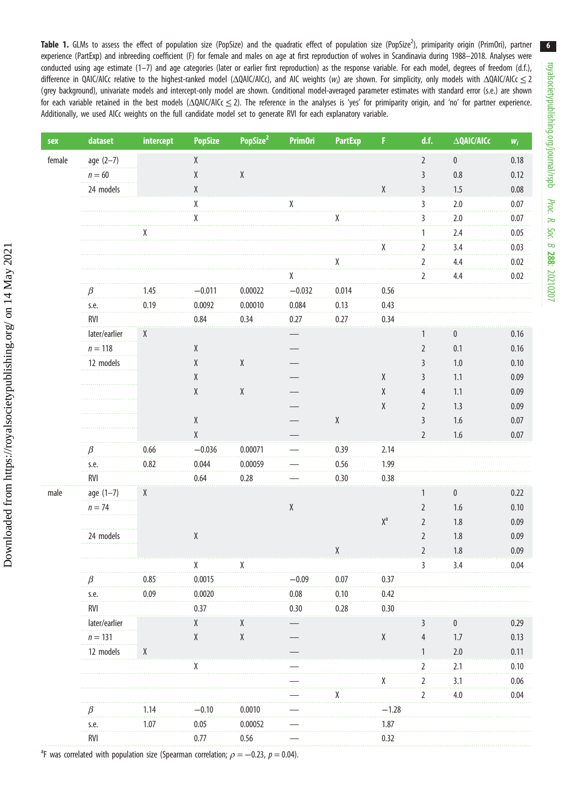<span id="page-5-0"></span>Table 1. GLMs to assess the effect of population size (PopSize) and the quadratic effect of population size (PopSize<sup>2</sup>), primiparity origin (PrimOri), partner experience (PartExp) and inbreeding coefficient (F) for female and males on age at first reproduction of wolves in Scandinavia during 1988–2018. Analyses were conducted using age estimate (1–7) and age categories (later or earlier first reproduction) as the response variable. For each model, degrees of freedom (d.f.), difference in QAIC/AICc relative to the highest-ranked model (ΔQAIC/AICc), and AIC weights (w<sub>i</sub>) are shown. For simplicity, only models with ΔQAIC/AICc  $\leq$  2 (grey background), univariate models and intercept-only model are shown. Conditional model-averaged parameter estimates with standard error (s.e.) are shown for each variable retained in the best models (ΔQAIC/AICc ≤ 2). The reference in the analyses is 'yes' for primiparity origin, and 'no' for partner experience. Additionally, we used AICc weights on the full candidate model set to generate RVI for each explanatory variable.

| sex    | dataset                                | intercept    | <b>PopSize</b>                                      | PopSize <sup>2</sup> | <b>PrimOri</b>                                                                                             | <b>PartExp</b> | F.                                                  | d.f.                 | $\Delta Q$ AIC/AICc      | $W_i$ |
|--------|----------------------------------------|--------------|-----------------------------------------------------|----------------------|------------------------------------------------------------------------------------------------------------|----------------|-----------------------------------------------------|----------------------|--------------------------|-------|
| female | $age (2-7)$                            |              | $\mathsf{X}% _{0}^{\prime}=\mathsf{X}_{0}^{\prime}$ |                      |                                                                                                            |                |                                                     | $\overline{2}$       | $\pmb{0}$                | 0.18  |
|        | $n=60$                                 |              | $\mathsf X$                                         | $\chi$               |                                                                                                            |                |                                                     | $\mathbf{3}$         | 0.8                      | 0.12  |
|        | 24 models                              |              | χ                                                   |                      |                                                                                                            |                | $\chi$                                              | $\mathsf{3}$         | 1.5                      | 0.08  |
|        |                                        |              | χ                                                   |                      | χ                                                                                                          |                |                                                     | $\mathfrak{Z}$       | 2.0                      | 0.07  |
|        |                                        |              | χ                                                   |                      |                                                                                                            |                |                                                     | 3                    | 2.0<br>$\sim$ and $\sim$ | 0.07  |
|        |                                        | $\mathbf{X}$ |                                                     |                      |                                                                                                            |                |                                                     | $\mathbf{1}$         | 2.4                      | 0.05  |
|        |                                        |              |                                                     |                      |                                                                                                            |                | χ                                                   | $\overline{2}$<br>a. | 3.4                      | 0.03  |
|        |                                        |              |                                                     |                      |                                                                                                            | χ              |                                                     | $\sqrt{2}$           | 4.4                      | 0.02  |
|        |                                        |              |                                                     |                      | х                                                                                                          |                |                                                     | $\sqrt{2}$           | 4.4                      | 0.02  |
|        | $\beta$                                | 1.45         | $-0.011$                                            | 0.00022              | $-0.032$                                                                                                   | 0.014          | 0.56                                                |                      |                          |       |
|        | s.e.                                   | 0.19         | 0.0092                                              | 0.00010              | 0.084                                                                                                      | 0.13           | 0.43                                                |                      |                          |       |
|        | RVI                                    |              | 0.84                                                | 0.34                 | 0.27                                                                                                       | 0.27           | 0.34                                                |                      |                          |       |
|        | later/earlier                          | Χ            |                                                     |                      |                                                                                                            |                |                                                     |                      | 0                        | 0.16  |
|        | $n=118$                                |              | $\mathsf X$                                         |                      |                                                                                                            |                |                                                     | $\overline{2}$       | 0.1                      | 0.16  |
|        | 12 models                              |              | $\pmb{\chi}$                                        | $\pmb{\mathsf{X}}$   |                                                                                                            |                |                                                     | 3                    | 1.0                      | 0.10  |
|        |                                        |              | $\chi$                                              |                      |                                                                                                            |                | $\pmb{\chi}$                                        | 3                    | 1.1                      | 0.09  |
|        |                                        |              | $\chi$                                              | $\pmb{\mathsf{X}}$   |                                                                                                            |                | $\chi$                                              | $\overline{4}$       | 1.1                      | 0.09  |
|        |                                        |              |                                                     |                      |                                                                                                            |                | $\chi$                                              | $\overline{2}$       | 1.3                      | 0.09  |
|        |                                        |              | $\mathsf{X}% _{0}^{\prime}=\mathsf{X}_{0}^{\prime}$ |                      |                                                                                                            | $\mathsf{X}$   |                                                     | $\mathsf{3}$         | 1.6                      | 0.07  |
|        |                                        |              | $\mathsf X$                                         |                      |                                                                                                            |                |                                                     | $\overline{2}$       | 1.6                      | 0.07  |
|        | $\beta$                                | 0.66         | $-0.036$                                            | 0.00071              |                                                                                                            | 0.39           | 2.14                                                |                      |                          |       |
|        | s.e.                                   | 0.82         | 0.044                                               | 0.00059              |                                                                                                            | 0.56           | 1.99                                                |                      |                          |       |
|        | RVI                                    |              | 0.64                                                | 0.28                 |                                                                                                            | 0.30           | 0.38                                                |                      |                          |       |
| male   | $age (1-7)$                            | Χ            |                                                     |                      |                                                                                                            |                |                                                     | $\mathbf{1}$         | 0                        | 0.22  |
|        | $n = 74$                               |              |                                                     |                      | $\mathsf{X}% _{T}=\mathsf{X}_{T}\!\left( a,b\right) ,\ \mathsf{Y}_{T}=\mathsf{Y}_{T}\!\left( a,b\right) ,$ |                |                                                     | $\overline{2}$       | 1.6                      | 0.10  |
|        |                                        |              |                                                     |                      |                                                                                                            |                | $\mathsf{X}^\mathsf{a}$                             | $\overline{2}$       | 1.8                      | 0.09  |
|        | 24 models                              |              | $\mathsf{X}% _{0}^{\prime}=\mathsf{X}_{0}^{\prime}$ |                      |                                                                                                            |                |                                                     | $\overline{2}$       | 1.8                      | 0.09  |
|        |                                        |              |                                                     |                      |                                                                                                            | χ              |                                                     | $\overline{2}$       | 1.8                      | 0.09  |
|        |                                        |              | χ                                                   | X                    |                                                                                                            |                |                                                     | 3                    | 3.4                      | 0.04  |
|        |                                        | 0.85         | 0.0015                                              |                      | $-0.09$                                                                                                    | 0.07           | 0.37                                                |                      |                          |       |
|        | s.e.<br><b>RVI</b>                     | 0.09         | 0.0020<br>0.37                                      |                      | 0.08<br>0.30                                                                                               | 0.10<br>0.28   | 0.42<br>0.30                                        |                      |                          |       |
|        | later/earlier                          |              | X                                                   | X                    |                                                                                                            |                |                                                     | ₹                    | 0                        | 0.29  |
|        | $n = 131$                              |              | $\chi$                                              | $\pmb{\chi}$         |                                                                                                            |                | $\mathsf{X}% _{0}^{\prime}=\mathsf{X}_{0}^{\prime}$ | 4                    | 1.7                      | 0.13  |
|        | 12 models                              | X            |                                                     |                      |                                                                                                            |                |                                                     |                      | 2.0                      | 0.11  |
|        |                                        |              | χ                                                   |                      |                                                                                                            |                |                                                     | 2                    | 2.1                      | 0.10  |
|        |                                        |              |                                                     |                      |                                                                                                            |                | χ                                                   | 2                    | 3.1                      | 0.06  |
|        |                                        |              |                                                     |                      |                                                                                                            |                |                                                     | 2                    | 4.0                      | 0.04  |
|        | Þ                                      | 1.14         | $-0.10$                                             | 0.0010               |                                                                                                            |                | $-1.28$                                             |                      |                          |       |
|        | s.e.                                   | 1.07         | 0.05                                                | 0.00052              |                                                                                                            |                | 1.87                                                |                      |                          |       |
|        | .<br>RVI                               |              | 0.77                                                | 0.56                 |                                                                                                            |                | 0.32                                                |                      |                          |       |
|        | correlation errors in the correlation. |              |                                                     |                      | - 0 O J                                                                                                    |                |                                                     |                      |                          |       |

6

<sup>a</sup>F was correlated with population size (Spearman correlation;  $\rho = -0.23$ ,  $p = 0.04$ ).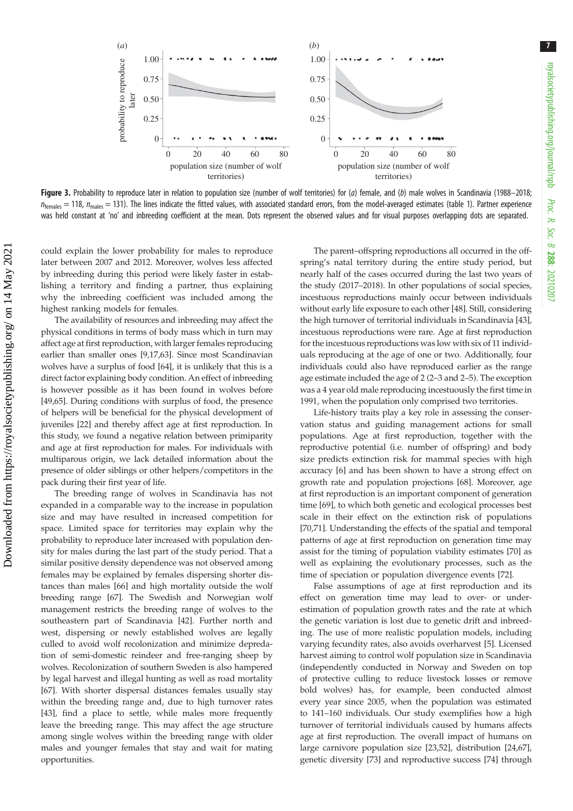7

<span id="page-6-0"></span>

Figure 3. Probability to reproduce later in relation to population size (number of wolf territories) for  $(a)$  female, and  $(b)$  male wolves in Scandinavia (1988–2018;  $n_{\text{females}} = 118$ ,  $n_{\text{males}} = 131$ ). The lines indicate the fitted values, with associated standard errors, from the model-averaged estimates ([table 1\)](#page-5-0). Partner experience was held constant at 'no' and inbreeding coefficient at the mean. Dots represent the observed values and for visual purposes overlapping dots are separated.

could explain the lower probability for males to reproduce later between 2007 and 2012. Moreover, wolves less affected by inbreeding during this period were likely faster in establishing a territory and finding a partner, thus explaining why the inbreeding coefficient was included among the highest ranking models for females.

The availability of resources and inbreeding may affect the physical conditions in terms of body mass which in turn may affect age at first reproduction, with larger females reproducing earlier than smaller ones [[9,17](#page-7-0),[63](#page-8-0)]. Since most Scandinavian wolves have a surplus of food [[64\]](#page-8-0), it is unlikely that this is a direct factor explaining body condition. An effect of inbreeding is however possible as it has been found in wolves before [\[49,65](#page-8-0)]. During conditions with surplus of food, the presence of helpers will be beneficial for the physical development of juveniles [\[22\]](#page-7-0) and thereby affect age at first reproduction. In this study, we found a negative relation between primiparity and age at first reproduction for males. For individuals with multiparous origin, we lack detailed information about the presence of older siblings or other helpers/competitors in the pack during their first year of life.

The breeding range of wolves in Scandinavia has not expanded in a comparable way to the increase in population size and may have resulted in increased competition for space. Limited space for territories may explain why the probability to reproduce later increased with population density for males during the last part of the study period. That a similar positive density dependence was not observed among females may be explained by females dispersing shorter distances than males [\[66](#page-8-0)] and high mortality outside the wolf breeding range [\[67](#page-8-0)]. The Swedish and Norwegian wolf management restricts the breeding range of wolves to the southeastern part of Scandinavia [[42\]](#page-8-0). Further north and west, dispersing or newly established wolves are legally culled to avoid wolf recolonization and minimize depredation of semi-domestic reindeer and free-ranging sheep by wolves. Recolonization of southern Sweden is also hampered by legal harvest and illegal hunting as well as road mortality [\[67](#page-8-0)]. With shorter dispersal distances females usually stay within the breeding range and, due to high turnover rates [\[43](#page-8-0)], find a place to settle, while males more frequently leave the breeding range. This may affect the age structure among single wolves within the breeding range with older males and younger females that stay and wait for mating opportunities.

The parent–offspring reproductions all occurred in the offspring's natal territory during the entire study period, but nearly half of the cases occurred during the last two years of the study (2017–2018). In other populations of social species, incestuous reproductions mainly occur between individuals without early life exposure to each other [\[48](#page-8-0)]. Still, considering the high turnover of territorial individuals in Scandinavia [[43\]](#page-8-0), incestuous reproductions were rare. Age at first reproduction for the incestuous reproductions was low with six of 11 individuals reproducing at the age of one or two. Additionally, four individuals could also have reproduced earlier as the range age estimate included the age of 2 (2–3 and 2–5). The exception was a 4 year old male reproducing incestuously the first time in 1991, when the population only comprised two territories.

Life-history traits play a key role in assessing the conservation status and guiding management actions for small populations. Age at first reproduction, together with the reproductive potential (i.e. number of offspring) and body size predicts extinction risk for mammal species with high accuracy [\[6\]](#page-7-0) and has been shown to have a strong effect on growth rate and population projections [[68\]](#page-8-0). Moreover, age at first reproduction is an important component of generation time [[69\]](#page-8-0), to which both genetic and ecological processes best scale in their effect on the extinction risk of populations [[70,71\]](#page-8-0). Understanding the effects of the spatial and temporal patterns of age at first reproduction on generation time may assist for the timing of population viability estimates [[70](#page-8-0)] as well as explaining the evolutionary processes, such as the time of speciation or population divergence events [\[72](#page-8-0)].

False assumptions of age at first reproduction and its effect on generation time may lead to over- or underestimation of population growth rates and the rate at which the genetic variation is lost due to genetic drift and inbreeding. The use of more realistic population models, including varying fecundity rates, also avoids overharvest [[5](#page-7-0)]. Licensed harvest aiming to control wolf population size in Scandinavia (independently conducted in Norway and Sweden on top of protective culling to reduce livestock losses or remove bold wolves) has, for example, been conducted almost every year since 2005, when the population was estimated to 141–160 individuals. Our study exemplifies how a high turnover of territorial individuals caused by humans affects age at first reproduction. The overall impact of humans on large carnivore population size [\[23](#page-7-0)[,52](#page-8-0)], distribution [\[24](#page-7-0),[67\]](#page-8-0), genetic diversity [[73\]](#page-8-0) and reproductive success [[74\]](#page-8-0) through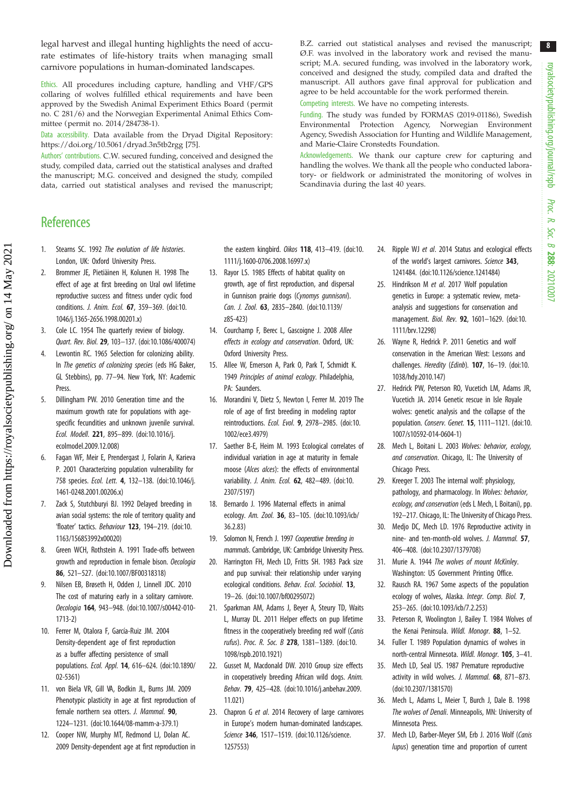<span id="page-7-0"></span>legal harvest and illegal hunting highlights the need of accurate estimates of life-history traits when managing small carnivore populations in human-dominated landscapes.

Ethics. All procedures including capture, handling and VHF/GPS collaring of wolves fulfilled ethical requirements and have been approved by the Swedish Animal Experiment Ethics Board (permit no. C 281/6) and the Norwegian Experimental Animal Ethics Committee (permit no. 2014/284738-1).

Data accessibility. Data available from the Dryad Digital Repository: <https://doi.org/10.5061/dryad.3n5tb2rgg> [\[75](#page-8-0)].

Authors' contributions. C.W. secured funding, conceived and designed the study, compiled data, carried out the statistical analyses and drafted the manuscript; M.G. conceived and designed the study, compiled data, carried out statistical analyses and revised the manuscript; B.Z. carried out statistical analyses and revised the manuscript; Ø.F. was involved in the laboratory work and revised the manuscript; M.A. secured funding, was involved in the laboratory work, conceived and designed the study, compiled data and drafted the manuscript. All authors gave final approval for publication and agree to be held accountable for the work performed therein.

Competing interests. We have no competing interests.

Funding. The study was funded by FORMAS (2019-01186), Swedish Environmental Protection Agency, Norwegian Environment Agency, Swedish Association for Hunting and Wildlife Management, and Marie-Claire Cronstedts Foundation.

Acknowledgements. We thank our capture crew for capturing and handling the wolves. We thank all the people who conducted laboratory- or fieldwork or administrated the monitoring of wolves in Scandinavia during the last 40 years.

## **References**

- 1. Stearns SC. 1992 The evolution of life histories. London, UK: Oxford University Press.
- 2. Brommer JE, Pietiäinen H, Kolunen H. 1998 The effect of age at first breeding on Ural owl lifetime reproductive success and fitness under cyclic food conditions. J. Anim. Ecol. 67, 359–369. [\(doi:10.](http://dx.doi.org/10.1046/j.1365-2656.1998.00201.x) [1046/j.1365-2656.1998.00201.x](http://dx.doi.org/10.1046/j.1365-2656.1998.00201.x))
- 3. Cole LC. 1954 The quarterly review of biology. Quart. Rev. Biol. 29, 103–137. [\(doi:10.1086/400074\)](http://dx.doi.org/10.1086/400074)
- Lewontin RC. 1965 Selection for colonizing ability. In The genetics of colonizing species (eds HG Baker, GL Stebbins), pp. 77–94. New York, NY: Academic Press.
- 5. Dillingham PW. 2010 Generation time and the maximum growth rate for populations with agespecific fecundities and unknown juvenile survival. Ecol. Modell. 221, 895–899. ([doi:10.1016/j.](http://dx.doi.org/10.1016/j.ecolmodel.2009.12.008) [ecolmodel.2009.12.008\)](http://dx.doi.org/10.1016/j.ecolmodel.2009.12.008)
- 6. Fagan WF, Meir E, Prendergast J, Folarin A, Karieva P. 2001 Characterizing population vulnerability for 758 species. Ecol. Lett. 4, 132–138. [\(doi:10.1046/j.](http://dx.doi.org/10.1046/j.1461-0248.2001.00206.x) [1461-0248.2001.00206.x\)](http://dx.doi.org/10.1046/j.1461-0248.2001.00206.x)
- 7. Zack S, Stutchburyi BJ. 1992 Delayed breeding in avian social systems: the role of territory quality and 'floater' tactics. Behaviour 123, 194–219. ([doi:10.](http://dx.doi.org/10.1163/156853992x00020) [1163/156853992x00020](http://dx.doi.org/10.1163/156853992x00020))
- 8. Green WCH, Rothstein A. 1991 Trade-offs between growth and reproduction in female bison. Oecologia 86, 521–527. ([doi:10.1007/BF00318318](http://dx.doi.org/10.1007/BF00318318))
- 9. Nilsen EB, Brøseth H, Odden J, Linnell JDC. 2010 The cost of maturing early in a solitary carnivore. Oecologia 164, 943–948. [\(doi:10.1007/s00442-010-](http://dx.doi.org/10.1007/s00442-010-1713-2) [1713-2](http://dx.doi.org/10.1007/s00442-010-1713-2))
- 10. Ferrer M, Otalora F, García-Ruiz JM. 2004 Density-dependent age of first reproduction as a buffer affecting persistence of small populations. Ecol. Appl. 14, 616–624. ([doi:10.1890/](http://dx.doi.org/10.1890/02-5361) [02-5361\)](http://dx.doi.org/10.1890/02-5361)
- 11. von Biela VR, Gill VA, Bodkin JL, Burns JM. 2009 Phenotypic plasticity in age at first reproduction of female northern sea otters. J. Mammal. 90, 1224–1231. [\(doi:10.1644/08-mamm-a-379.1](http://dx.doi.org/10.1644/08-mamm-a-379.1))
- 12. Cooper NW, Murphy MT, Redmond LJ, Dolan AC. 2009 Density-dependent age at first reproduction in

the eastern kingbird. Oikos 118, 413-419. [\(doi:10.](http://dx.doi.org/10.1111/j.1600-0706.2008.16997.x) [1111/j.1600-0706.2008.16997.x](http://dx.doi.org/10.1111/j.1600-0706.2008.16997.x))

- 13. Rayor LS. 1985 Effects of habitat quality on growth, age of first reproduction, and dispersal in Gunnison prairie dogs (Cynomys gunnisoni). Can. J. Zool. 63, 2835–2840. [\(doi:10.1139/](http://dx.doi.org/10.1139/z85-423) [z85-423](http://dx.doi.org/10.1139/z85-423))
- 14. Courchamp F, Berec L, Gascoigne J. 2008 Allee effects in ecology and conservation. Oxford, UK: Oxford University Press.
- 15. Allee W, Emerson A, Park O, Park T, Schmidt K. 1949 Principles of animal ecology. Philadelphia, PA: Saunders.
- 16. Morandini V, Dietz S, Newton I, Ferrer M. 2019 The role of age of first breeding in modeling raptor reintroductions. Ecol. Evol. 9, 2978–2985. [\(doi:10.](http://dx.doi.org/10.1002/ece3.4979) [1002/ece3.4979](http://dx.doi.org/10.1002/ece3.4979))
- 17. Saether B-E, Heim M. 1993 Ecological correlates of individual variation in age at maturity in female moose (Alces alces): the effects of environmental variability. J. Anim. Ecol. **62**, 482-489. [\(doi:10.](http://dx.doi.org/10.2307/5197) [2307/5197](http://dx.doi.org/10.2307/5197))
- 18. Bernardo J. 1996 Maternal effects in animal ecology. Am. Zool. 36, 83–105. [\(doi:10.1093/icb/](http://dx.doi.org/10.1093/icb/36.2.83) [36.2.83](http://dx.doi.org/10.1093/icb/36.2.83))
- 19. Solomon N, French J. 1997 Cooperative breeding in mammals. Cambridge, UK: Cambridge University Press.
- 20. Harrington FH, Mech LD, Fritts SH. 1983 Pack size and pup survival: their relationship under varying ecological conditions. Behav. Ecol. Sociobiol. 13, 19–26. ([doi:10.1007/bf00295072\)](http://dx.doi.org/10.1007/bf00295072)
- 21. Sparkman AM, Adams J, Beyer A, Steury TD, Waits L, Murray DL. 2011 Helper effects on pup lifetime fitness in the cooperatively breeding red wolf (Canis rufus). Proc. R. Soc. B 278, 1381–1389. [\(doi:10.](http://dx.doi.org/10.1098/rspb.2010.1921) [1098/rspb.2010.1921\)](http://dx.doi.org/10.1098/rspb.2010.1921)
- 22. Gusset M, Macdonald DW. 2010 Group size effects in cooperatively breeding African wild dogs. Anim. Behav. 79, 425–428. ([doi:10.1016/j.anbehav.2009.](http://dx.doi.org/10.1016/j.anbehav.2009.11.021) [11.021](http://dx.doi.org/10.1016/j.anbehav.2009.11.021))
- 23. Chapron G et al. 2014 Recovery of large carnivores in Europe's modern human-dominated landscapes. Science 346, 1517–1519. [\(doi:10.1126/science.](http://dx.doi.org/10.1126/science.1257553) [1257553\)](http://dx.doi.org/10.1126/science.1257553)
- 24. Ripple WJ et al. 2014 Status and ecological effects of the world's largest carnivores. Science 343, 1241484. [\(doi:10.1126/science.1241484](http://dx.doi.org/10.1126/science.1241484))
- 25. Hindrikson M et al. 2017 Wolf population genetics in Europe: a systematic review, metaanalysis and suggestions for conservation and management. Biol. Rev. 92, 1601–1629. ([doi:10.](http://dx.doi.org/10.1111/brv.12298) [1111/brv.12298](http://dx.doi.org/10.1111/brv.12298))
- 26. Wayne R, Hedrick P. 2011 Genetics and wolf conservation in the American West: Lessons and challenges. Heredity (Edinb). 107, 16-19. [\(doi:10.](http://dx.doi.org/10.1038/hdy.2010.147) [1038/hdy.2010.147\)](http://dx.doi.org/10.1038/hdy.2010.147)
- 27. Hedrick PW, Peterson RO, Vucetich LM, Adams JR, Vucetich JA. 2014 Genetic rescue in Isle Royale wolves: genetic analysis and the collapse of the population. Conserv. Genet. 15, 1111–1121. [\(doi:10.](http://dx.doi.org/10.1007/s10592-014-0604-1) [1007/s10592-014-0604-1](http://dx.doi.org/10.1007/s10592-014-0604-1))
- 28. Mech L, Boitani L. 2003 Wolves: behavior, ecology, and conservation. Chicago, IL: The University of Chicago Press.
- 29. Kreeger T. 2003 The internal wolf: physiology, pathology, and pharmacology. In Wolves: behavior, ecology, and conservation (eds L Mech, L Boitani), pp. 192–217. Chicago, IL: The University of Chicago Press.
- 30. Medjo DC, Mech LD. 1976 Reproductive activity in nine- and ten-month-old wolves. J. Mammal. 57, 406–408. [\(doi:10.2307/1379708\)](http://dx.doi.org/10.2307/1379708)
- 31. Murie A. 1944 The wolves of mount McKinley. Washington: US Government Printing Office.
- 32. Rausch RA. 1967 Some aspects of the population ecology of wolves, Alaska. Integr. Comp. Biol. 7, 253–265. [\(doi:10.1093/icb/7.2.253](http://dx.doi.org/10.1093/icb/7.2.253))
- 33. Peterson R, Woolington J, Bailey T. 1984 Wolves of the Kenai Peninsula. Wildl. Monogr. 88, 1-52.
- 34. Fuller T. 1989 Population dynamics of wolves in north-central Minnesota. Wildl. Monogr. 105, 3–41.
- 35. Mech LD, Seal US. 1987 Premature reproductive activity in wild wolves. J. Mammal. 68, 871-873. ([doi:10.2307/1381570](http://dx.doi.org/10.2307/1381570))
- 36. Mech L, Adams L, Meier T, Burch J, Dale B. 1998 The wolves of Denali. Minneapolis, MN: University of Minnesota Press.
- 37. Mech LD, Barber-Meyer SM, Erb J. 2016 Wolf (Canis lupus) generation time and proportion of current